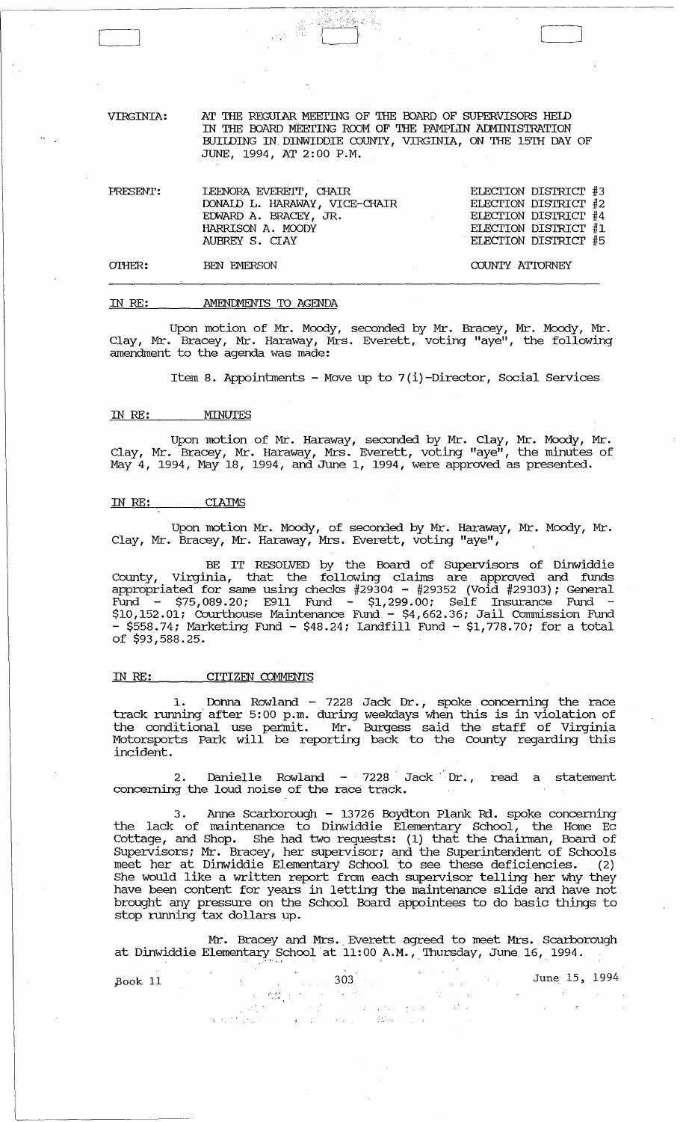VIRGINIA: AT THE REGULAR MEETING OF THE BOARD OF SUPERVISORS HELD IN THE OOARD M'EErING ROOM OF THE PAMPLIN ACMINISTRATION BUIWING IN DINWIDDIE COUNTY, VIRGINIA, ON THE 15TH DAY OF JUNE, 1994, AT 2:00 P.M.

| PRESENT: | LEENORA EVERETT, CHAIR        | ELECTION DISTRICT #3 |  |
|----------|-------------------------------|----------------------|--|
|          | DONALD L. HARAWAY, VICE-CHAIR | ELECTION DISTRICT #2 |  |
|          | EDWARD A. BRACEY, JR.         | ELECTION DISTRICT #4 |  |
|          | HARRISON A. MOODY             | ELECTION DISTRICT #1 |  |
|          | AUBREY S. CIAY                | ELECTION DISTRICT #5 |  |
|          |                               |                      |  |

 $O$ THER:

Cl

#### IN RE: AMENIMENTS TO AGENDA

BEN EMERSON

Upon motion of Mr. Moody, seconded by Mr. Bracey, Mr. Moody, Mr. Clay, Mr. Bracey, Mr. Haraway, Mrs. Everett, voting "aye", the following amendment to the agenda was made:

Item 8. Appointments - Move up to  $7(i)$ -Director, Social Services

#### IN RE: MINUTES

Upon motion of Mr. Haraway, seconded by Mr. Clay, Mr. Moody, Mr. Clay, Mr. Bracey, Mr. Haraway, Mrs. Everett, voting "aye", the minutes of May 4, 1994, May 18, 1994, and June 1, 1994, were approved as presented.

### IN RE: CIAIMS

Upon motion Mr. Moody, of seconded by Mr. Haraway, Mr. Moody, Mr. Clay, Mr. Bracey, Mr. Haraway, Mrs. Everett, voting "aye",

BE IT RESOLVED by the Board of Supervisors of Dinwiddie County, Virginia, that the following claims are approved and funds appropriated for same using checks #29304 - #29352 (Void #29303); General  $\bar{\text{Fund}}$  - \$75,089.20; E911  $\bar{\text{Fund}}$  - \$1,299.00; Self Insurance Fund -\$10,152.01; Courthouse Maintenance Fund - \$4,662.36; Jail Commission Fund  $-$  \$558.74; Marketing Fund  $-$  \$48.24; Landfill Fund  $-$  \$1,778.70; for a total of \$93,588.25.

# IN RE: CITIZEN COMMENTS

1. Donna Rowland - 7228 Jack Dr., spoke concerning the race track running after 5:00 p.m. during weekdays when this is in violation of the conditional use peimit. Mr. Burgess said the staff of Virginia Motorsports Park will be reporting back to the County regarding this incident.

2. Danielle Rowland -  $7228$  Jack Dr., read a statement concerning the loud noise of the race track.

3. Anne Scarborough - 13726 Boydton Plank Rd. spoke concerning the lack of maintenance to Dinwiddie Elementary School, the Home Ec Cottage, and Shop. She had two requests: (1) that the Chairman, Board of Supervisors; Mr. Bracey, her supervisor; and the superintendent of Schools meet her at Dinwiddie Elementary School to see these deficiencies. (2) She would like a written report from each supervisor telling her why they have been content for years in letting the maintenance slide and have not brought any pressure on the School Board appointees to do basic things to stop running tax dollars up.

Mr. Bracey and Mrs. Everett agreed to meet Mrs. Scarborough at Dinwiddie Elementary School at 11:00 A.M., Thursday, June 16, 1994.

 $\label{eq:2} \begin{split} \mathbb{E}\left[\left\langle \mathbf{u}^{\dagger}\mathbf{v}^{\dagger}\right\rangle \right] & = 2\pi\left(\mathbf{u}^{\dagger}\mathbf{v}^{\dagger}\right) = \frac{1}{2}\left(\mathbf{v}^{\dagger}\mathbf{v}^{\dagger}\right) \,,\\ \mathbb{E}\left[\left\langle \mathbf{u}^{\dagger}\mathbf{u}^{\dagger}\right\rangle \right] & = 2\pi\left(\mathbf{u}^{\dagger}\mathbf{v}^{\dagger}\right) \,,\\ \mathbb{E}\left[\left\langle \mathbf{u}^{\dagger}\mathbf{u}^{\dagger}\$ 

 $\pm 5$   $\%$ 

 $\label{eq:3.1} \widetilde{S}_{\alpha\beta} = \frac{d^2 \mathcal{A}^{\alpha\beta}_{\alpha\beta}}{d\mathcal{A}^{\alpha\beta}_{\beta\beta}} \left(\frac{1}{\beta}\right)^{2\alpha\beta\beta\beta\beta}.$ 

 $-31 - 1$ 

 $\mathcal{L}(\mathcal{O}_1)$  .

Stark C

pook 11 303 June 15, 1994

 $\bar{z}$ 

L----,l

COUNTY ATTORNEY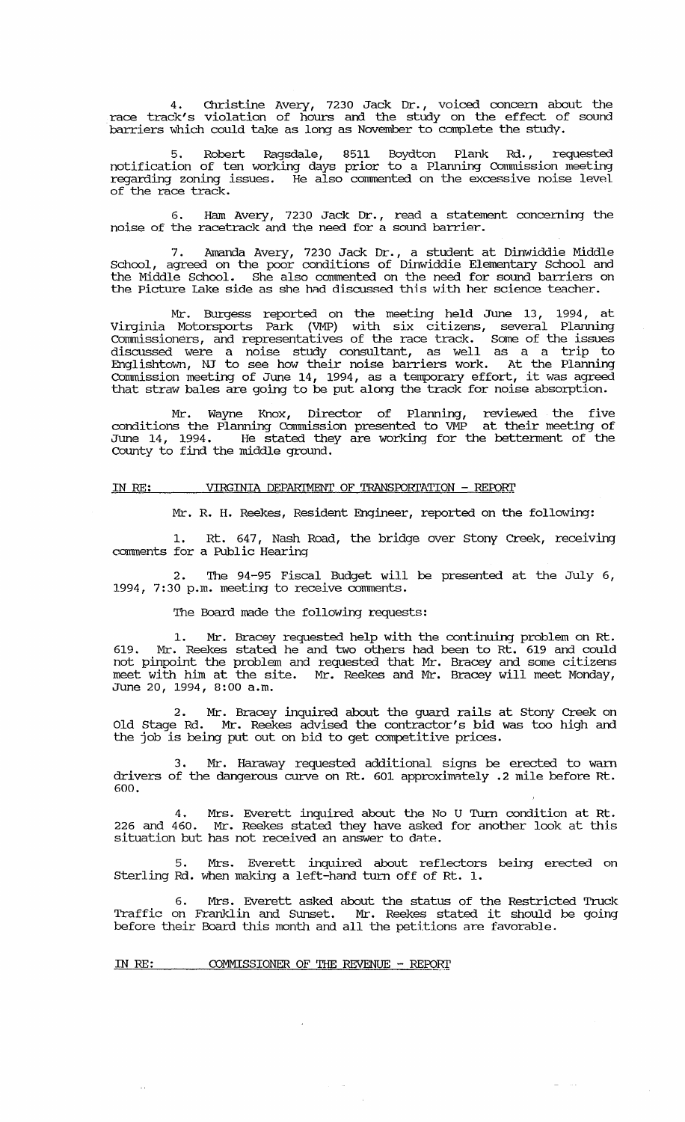4. Christine Avery, 7230 Jack Dr., voiced concern about the race track's violation of hours and. the study on the effect of sound barriers which could take as long as November to complete the study.

5. Robert Ragsdale, 8511 Boydton Plank Rd., requested notification of ten working days prior to a Planning comuission meeting regarding zoning issues. He also commented on the excessive noise level of the race track.

6. Ham Avery, 7230 Jack Dr., read a statement concerning the noise of the racetrack and the need for a sound barrier.

7. Amanda Avery, 7230 Jack Dr., a stUdent at Dinwiddie Middle School, agreed on the poor conditions of Dinwiddie Elementary School and the Middle School. She also commented on the need for sound barriers on the Picture lake side as she hnd discussed this with her science teacher.

Mr. Burgess reported on the meeting held June 13, 1994, at Virginia Motorsports Park (VMP) with six citizens, several Planning comuissioners, and representatives of the race track. Some of the issues discussed were a noise study consultant, as well as a a trip to Englishtown, NT to see how their noise barriers work. At the Planning Commission meeting of June 14, 1994, as a temporary effort, it was agreed that straw bales are going to be put along the track for noise absorption.

Mr. Wayne Knox, Director of Planning, reviewed the five conditions the Planning Commission presented to VMP at their meeting of June 14, 1994. He stated they are working for the betterment of the County to find the middle ground.

#### IN RE: VIRGINIA DEPARTMENT OF TRANSPORTATION - REPORT

Mr. R. H. Reekes, Resident Engineer, reported on the following:

1. Rt. 647, Nash Road, the bridge over stony Creek, receiving comments for a Public Hearing

2. The 94-95 Fiscal Budget will be presented at the July 6, 1994, 7:30 p.m. meeting to receive comments.

'Ihe Board made the following requests:

1. Mr. Bracey requested help with the continuing problem on Rt. 619. Mr. Reekes stated he and two others had been to Rt. 619 and could not pinpoint the problem and requested that Mr. Bracey and some citizens meet with him at the site. Mr. Reekes and Mr. Bracey will meet Monday, June 20, 1994, 8:00 a.m.

2. Mr. Bracey inquired about the guard rails at stony Creek on Old Stage Rd. Mr. Reekes advised the contractor's bid was too high and the job is being put out on bid to get competitive prices.

3. Mr. Haraway requested additional signs be erected to warn drivers of the dangerous curve on Rt. 601 approximately .2 mile before Rt. 600.

4. Mrs. Everett inquired about the No U Turn condition at Rt. 226 and 460. Mr. Reekes stated they have asked for another look at this situation but has not received an answer to date.

5. Mrs. Everett inquired about reflectors being erected on Sterling Rd. when making a left-hand turn off of Rt. 1.

6. Mrs. Everett asked about the status of the Restricted Truck Traffic on Franklin and Sunset. Mr. Reekes stated it should be going before their Board this month and all the petitions are favorable.

 $\sim$  .

IN RE: COMMISSIONER OF THE REVENUE - REPORT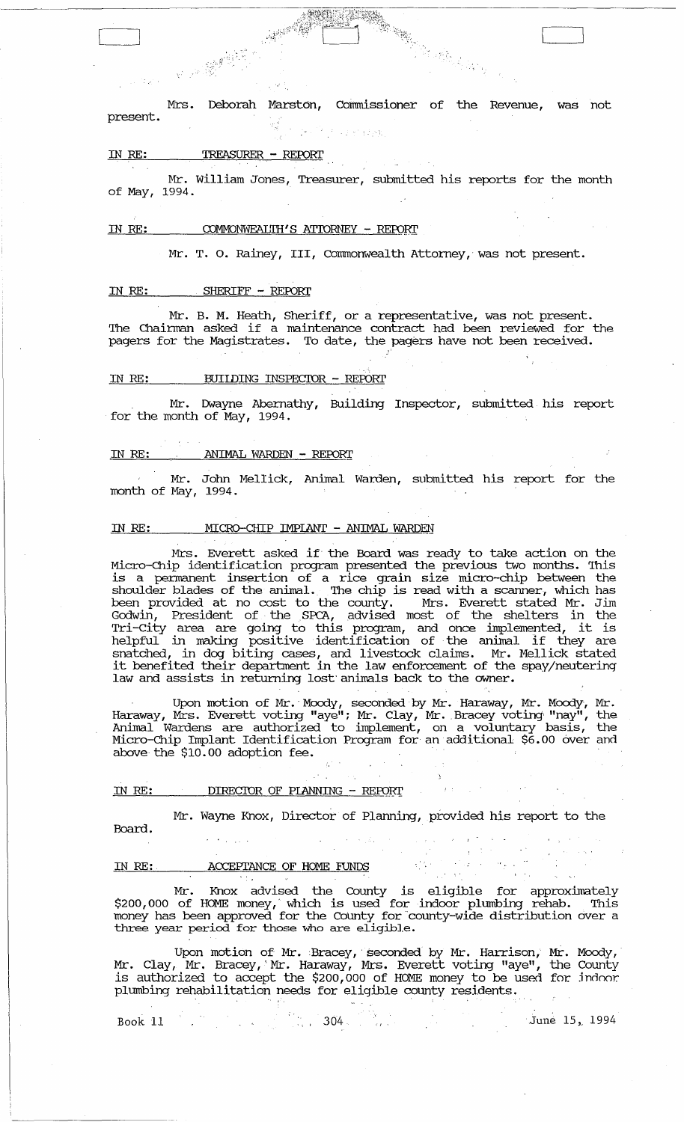Mrs. Deborah Marston, Commissioner of the Revenue, was not present. 大学的过去式

: ~ I

]

#### IN RE: TREASURER - REFORI'

Mr. William Jones, Treasurer, submitted his reports for the month of May, 1994.

#### IN RE: COMMONWEALIH'S ATTORNEY - REPORT

**大学 大学 大学 大学 大学 大学 あいまくらい あいまくらい かいしゃく かいしゃく かいしゃく かいしゃく かいしゃく かいしゃく かいしゃく かいしゃく かいしゃく かいしゃく かいしゃく かいしゃく かいしゃく かいしゃく かいしゃくん かいしゃくん かいしゃくん かいしゃくん かいしゃくん かいしゃくん** 

Mr. T. O. Rainey, III, Commonwealth Attorney, was not present.

#### IN RE: SHERIFF - REFORI'

Mr. B. M. Heath, Sheriff, or a representative, was not present. The Chairman asked if a maintenance contract had been reviewed for the pagers for the Magistrates. To date, the pagers have not been received.

"

#### IN RE: BUIIDING INSPECTOR - REPORT

Mr. Dwayne Abernathy, Building Inspector, submitted his report for the month of May, 1994.

#### IN RE: ANIMAL WARDEN - REPORT

Mr. John Mellick, Animal Warden, submitted his report for the month of May, 1994.

### IN RE: MICRO-CHIP IMPLANT - ANIMAL WARDEN

Mrs. Everett asked if the Board was ready to take action on the Micro-Chip identification program presented the previous two months. This is a pennanent insertion of a rice grain size micro-chip between the shoulder blades of the animal. The chip is read with a scanner, which has been provided at no cost to the county. Mrs. Everett stated Mr. Jim Godwin, President of the SPCA, advised most of the shelters in the Tri-city area are going to this program, and once implemented, it is helpful in making positive identification of the animal if they are snatched, in dog biting cases, and livestock claims. Mr. Mellick stated it benefited their department in the law enforcement of the spay/neutering law and assists in returning lost'animals back to the owner.

Upon motion of Mr.' Moody, seconded 'by Mr. Haraway, Mr. Moody, Mr. Haraway, Mrs. Everett voting "aye"; Mr. Clay, Mr. Bracey voting "nay", the Animal Wardens are authorized to implement, on a voluntary basis, the Micro-chip Implant Identification Program for an additional \$6.00 aver and above the  $$10.00$  adoption fee.

### IN RE: DIRECTOR OF PLANNING - REPORT

Board.

# Mr. Wayne Knox, Director of Planning, provided his report to the

 $\label{eq:10} \frac{\partial \mathcal{L}_{\mathcal{D}}}{\partial \mathcal{L}_{\mathcal{D}}}\left( \frac{\partial \mathcal{L}_{\mathcal{D}}}{\partial \mathcal{L}_{\mathcal{D}}}\right)$ 

 $\sim$  2  $\sim$   $\sim$ 

#### IN RE: ACCEPTANCE OF HOME FUNDS

Mr. Knox advised the County is eligible for approximately \$200,000 of HOME money,' which is used for indoor plumbing rehab. This money has been approved for the CoUnty for 'county-wide distribution over a three year period for those who are eligible.

Upon motion of Mr. Bracey, seconded by Mr. Harrison, Mr. Moody, Mr. Clay, Mr. Bracey, Mr. Haraway, Mrs. Everett voting "aye", the County is authorized to accept the \$200,000 of HOME money to be used for. jndnor. plumbing rehabilitation needs for eligible county residents.

| Book 11 |  |  |      |  |  | June 15, 1994 |  |
|---------|--|--|------|--|--|---------------|--|
|         |  |  | -304 |  |  |               |  |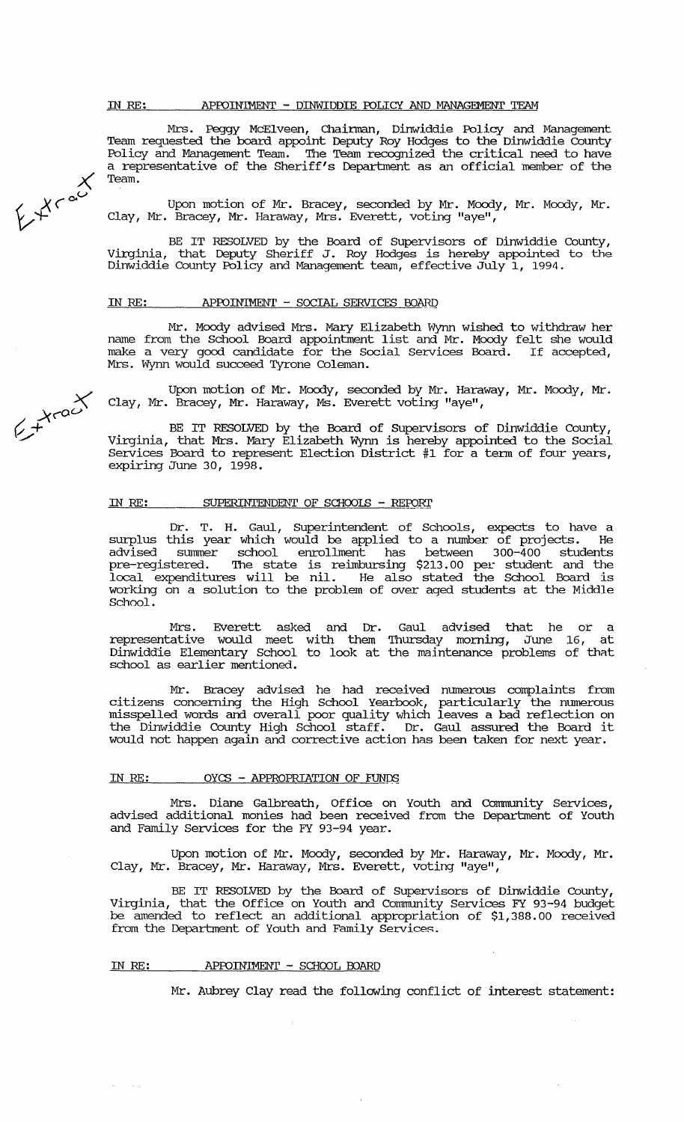$\overline{\mathsf{X}}$ Mrs. Peggy McElveen, Chainnan, Dinwiddie Policy and Management Team requested the board appoint Deputy Roy Hodges to the Dinwiddie County Policy and Management Team. The Team recognized the critical need to have a representative of the Sheriff's Department as an official member of the Team.

Upon motion of Mr. Bracey, seconded by Mr. Moody, Mr. Moody, Mr. Clay, Mr. Bracey, Mr. Haraway, Mrs. Everett, voting "aye",

BE IT RESOLVED by the Board of supervisors of Dinwiddie county, Virginia, that Deputy Sheriff J. Roy Hodges is hereby appointed to the Dinwiddie County Policy and Management team, effective July 1, 1994.

#### IN RE: APPOINTMENT - SOCIAL SERVICES BOARD

Mr. Moody advised Mrs. Mary Elizabeth Wynn wished to withdraw her name from the School Board appointment list and Mr. Moody felt she would make a very good candidate for the Social Services Board. If accepted, Mrs. Wynn would succeed Tyrone Coleman.

Upon motion of Mr. Moody, seconded by Mr. Haraway, Mr. Moody, Mr. Clay, Mr. Bracey, Mr. Haraway, Ms. Everett voting "aye",

BE IT RESOLVED by the Board of SUpervisors of Dinwiddie County, Virginia, that Mrs. Mary Elizabeth Wynn is hereby appointed to the Social Services Board to represent Election District #1 for a term of four years, expiring June 30, 1998.

#### IN RE: SUPERINTENDENT OF SCHOOLS - REPORT

Dr. T. H. Gaul, Superintendent of Schools, expects to have a surplus this year which would be applied to a number of projects. He advised summer school enrollment has between 300-400 students pre-registered. The state is reimbursing \$213.00 per student and the local expenditures will be nil. He also stated the School Board is working on a solution to the problem of over aged students at the Middle School.

Mrs. Everett asked and Dr. representative would meet with them Dinwiddie Elementary School to look at school as earlier mentioned. Gaul advised that he or a Thursday morning, June 16, at the maintenance problems of thnt

Mr. Bracey advised he had received numerous complaints from citizens concerning the High School Yearbook, particularly the mnnerous miSspelled words and overall poor quality which leaves a bad reflection on the Dinwiddie County High School staff. Dr. Gaul assured the Board it would not happen again and corrective action has been taken for next year.

#### IN RE:  $OYCS - APPROPRIATION OF FUNDS$

Mrs. Diane Galbreath, Office on Youth and Community Services, advised additional monies had been received from the Department of Youtn and Family Services for the FY 93-94 year.

Upon motion of Mr. Moody, seconded by Mr. Haraway, Mr. Moody, Mr. Clay, Mr. Bracey, Mr. Haraway, Mrs. Everett, voting "aye",

BE IT RESOLVED by the Board of Supervisors of Dinwiddie County, Virginia, that the Office on Youth and community Services FY 93-94 budget be amended to reflect an additional appropriation of \$1,388.00 received from the Department of Youth and Family Services.

#### IN RE: APPOINIMENT - SCHOOL BOARD

 $\bar{\omega}$  $\sim$   $\sim$   $_{\rm H}$  Mr. Aubrey Clay read the following conflict of interest statement:

 $e^{x-a^x}$ 

 $64^{\circ}$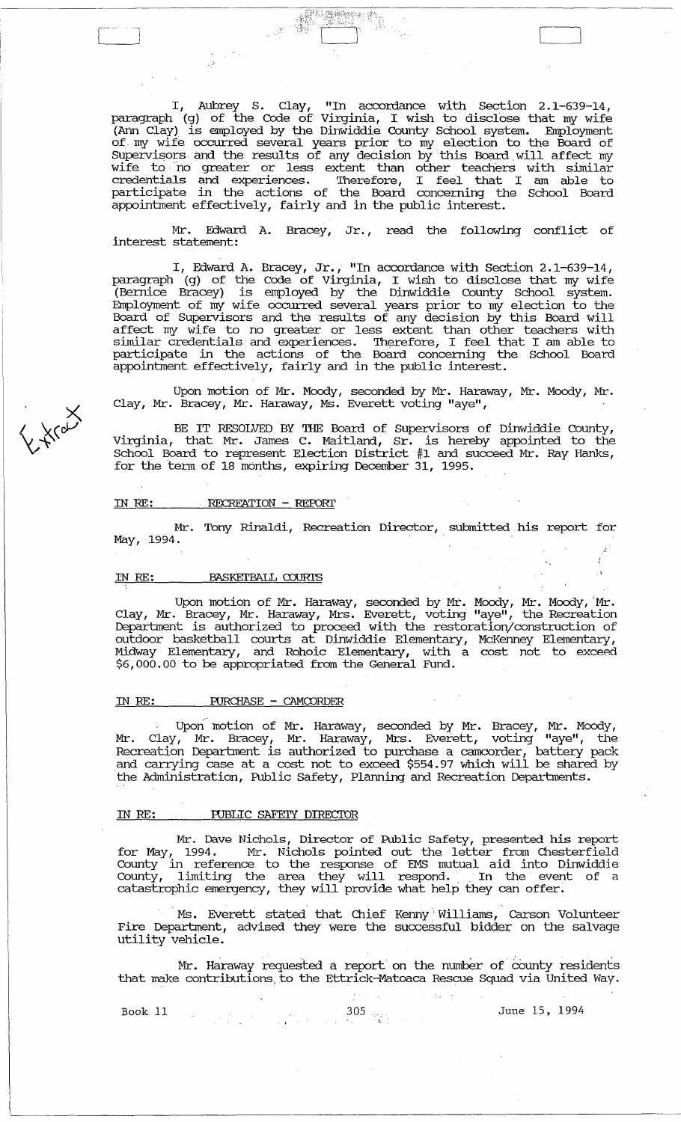I, Aubrey S. Clay, "In accordance with section 2. 1-639-14, paragraph (g) of the Code of Virginia, I wish to disclose that my wife (Ann Clay) is employed by the Dinwiddie County School system. Employment of my wife occurred several years prior to my election to the Board of SUpervisors and the results of any decision by this Board.will affect my wife to no greater or less extent than other teachers with similar credentials and experiences. Therefore, I feel that I am able to participate in the actions of the Board concerning the School Board appointment effectively, fairly and in the public interest.

Tille

Mr. Edward A. Bracey, Jr., read the following conflict of interest statement:

I, Edward A. Bracey, Jr., "In accordance with Section 2.1-639-14, paragraph (g) of the Code of Virginia, I wish to disclose that my wife (Bernice Bracey) 1S employed by the Dinwiddie County School system. Employment of my wife occurred several years prior to my election to the Board of Supervisors and the results of any decision by this Board will affect my wife to no greater or less extent than other teachers with similar credentials and experiences. Therefore, I feel that I am able to participate in the actions of the Board concerning the School Board appointment effectively, fairly and in the public interest.

Upon motion of Mr. Moody, seconded by Mr. Haraway, Mr. Moody, Mr. Clay, Mr. Bracey, Mr. Haraway, Ms. Everett voting "aye",

BE IT RESOLVED BY THE Board of Supervisors of Dinwiddie County, Virginia, that Mr. James C. Maitland, Sr. is hereby appomted to the School Board to represent Election District #1 and succeed Mr. Ray Hanks, for the term of 18 months, expiring December 31, 1995.

#### IN RE: RECREATION - REFDRI'

Mr. Tony Rinaldi, Recreation Director, submitted his report for May, 1994.

# IN RE: BASKETBALL COURIS

Upon motion of Mr. Haraway, seconded by Mr. Moody, Mr. Moody, 'Mr. Clay, Mr. Bracey, Mr. Haraway, Mrs. Everett, voting "aye", the Recreation Department is authorized to proceed with the restoration/construction of outdoor basketball courts at Dmwiddie Elementary, McKenney Elementary, Midway Elementary, and Rohoic Elementary, with a cost not to exceed \$6,000.00 to be appropriated from the General Fund.

#### IN RE: PURCHASE - CAMCORDER

Upon motion of Mr. Haraway, seconded by Mr. Bracey, Mr. Moody, Mr. Clay, Mr. Bracey, Mr. Haraway, Mrs. Everett, votmg "aye", the Recreation Department is authorized to purchase a camcorder, battery pack and carrymg case at a cost not to exceed \$554.97 which will be shared by the Administration, Public Safety, Planning and Recreation Departments.

#### IN RE: PUBLIC SAFETY DIRECTOR

Mr. Dave Nichols, Director of Public Safety, presented his report for May, 1994. Mr. Nichols pomted out the letter from Chesterfield County in reference to the response of EMS mutual aid into Dinwiddi e County, limiting the area they will respond. In the event of a catastrophic emergency, they will provide what help they can offer:

. Ms. Everett stated" that Chief Kenny' Williams, Carson Volunteer Fire Department, advised they were the successful bidder on the salvage utility vehicle.

Mr. Haraway requested a report on the number of county residents that make contributions, to the Ettrick-Matoaca Rescue Squad via United Way.

Book 11 305  $\frac{305}{4}$  June 15, 1994

C Front

 $\begin{bmatrix} 1 & 1 \\ 1 & 1 \end{bmatrix}$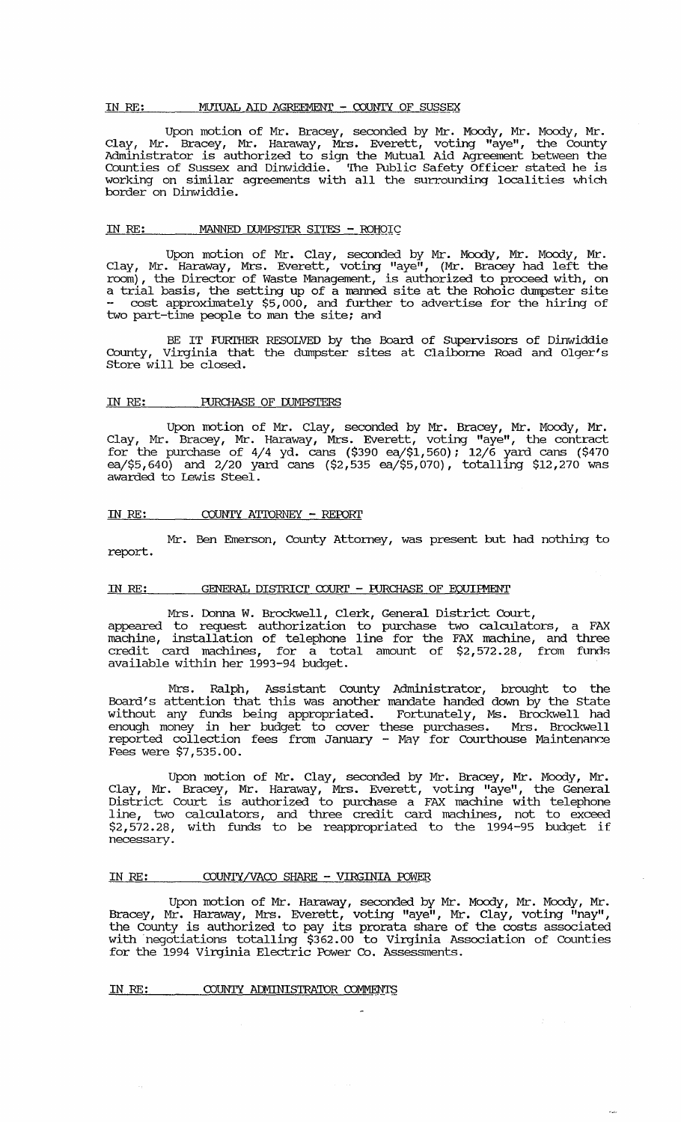#### IN RE: MUIUAL AID AGREEMENT - COUNTY OF SUSSEX

Upon motion of Mr. Bracey, seconded by Mr. Moody, Mr. Moody, Mr. Clay, Mr. Bracey, Mr. Haraway, Mrs. Everett, voting "aye", the County Administrator is authorized to sign the Mutual Aid Agreement between the Counties of Sussex and Dinwiddie. The Public Safety Officer stated he is working on similar agreements with all the surrounding localities which border on Dinwiddie.

#### IN RE: MANNED DUMPSTER SITES - ROHOIC

Upon motion of Mr. Clay, seconded by Mr. Moody, Mr. Moody, Mr.<br>Clay, Mr. Haraway, Mrs. Everett, voting "aye", (Mr. Bracey had left the room), the Director of Waste Management, is authorized to proceed with, on a trial basis, the setting up of a manned site at the Rohoic dumpster site cost approximately \$5,000, and further to advertise for the hiring of two part-time people to man the site; and

BE IT FURIHER RESOLVED by the Board of Supervisors of Dinwiddie County, Virginia that the dumpster sites at Claiborne Road and Olger's Store will be closed.

#### IN RE: PURCHASE OF DUMPSTERS

Upon motion of Mr. Clay, seconded by Mr. Bracey, Mr. Moody, Mr. Clay, Mr. Bracey, Mr. Haraway, Mrs. Everett, voting "aye", the contract for the purchase of  $4/4$  yd. cans (\$390 ea/\$1,560); 12/6 yard cans (\$470 ea/\$5,640) and 2/20  $\gamma$  and cans (\$2,535 ea/\$5,070), totalling \$12,270 was awarded to Lewis Steel.

#### IN RE: COUNTY ATTORNEY - REPORT

Mr. Ben Emerson, County Attorney, was present but had nothing to report.

#### IN RE: GENERAL DISTRICT COURT - FURCHASE OF EQUIPMENT

Mrs. Donna W. Brockwell, Clerk, General District Court, appeared to request authorization to purchase two calculators, a FAX machine, installation of telephone line for the FAX machine, and three credit card machines, for a total amount of \$2,572.28, from funds available within her 1993-94 budget.

Mrs. Ralph, Assistant County Administrator, brought to the Board's attention that this was another mandate handed down by the State without any funds being appropriated. Fortunately, Ms. Brockwell had enough money in her budget to cover these purchases. Mrs. Brockwell reported collection fees from January - May for Courthouse Maintenance Fees were \$7,535.00.

Upon motion of Mr. Clay, seconded by Mr. Bracey, Mr. Moody, Mr.<br>Clay, Mr. Bracey, Mr. Haraway, Mrs. Everett, voting "aye", the General District Court is authorized to purchase a FAX machine with telephone line, two calculators, and three credit card machines, not to exceed \$2,572.28, with funds to be reappropriated to the 1994-95 budget if necessary.

#### IN RE: COUNTY/VACO SHARE - VIRGINIA POWER

Upon motion of Mr. Haraway, seconded by Mr. Moody, Mr. Moody, Mr. Bracey, Mr. Haraway, Mrs. Everett, voting "aye", Mr. Clay, voting "nay", the County is authorized to pay its prorata share of the costs associated with negotiations totalling \$362.00 to Virginia Association of Counties for the 1994 Virginia Electric Power Co. Assessments.

IN RE: COUNTY ADMINISTRATOR COMMENTS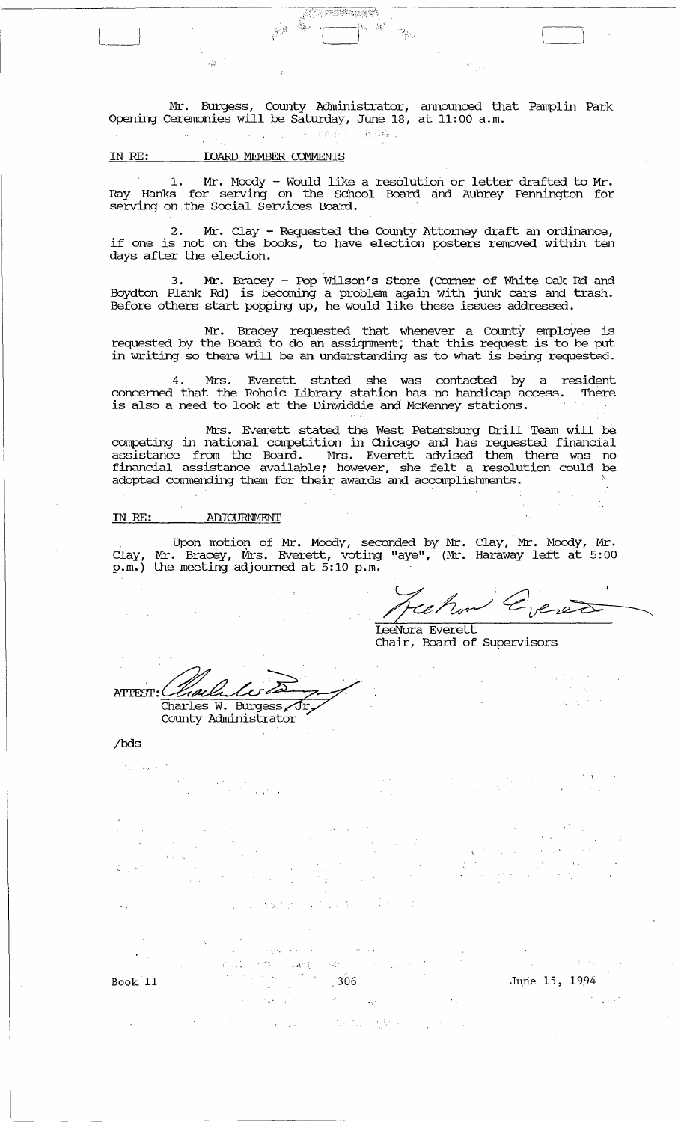Mr. Burgess, COlmty Administrator, announced that Pamplin Park Opening ceremonies will be Saturday, June 18, at 11: 00 a. m.

细小脑

<u> Francisco (</u>

IN RE: BOARD MEMBER COMMENTS

1. Mr. Moody - Would like a resolution or letter drafted to Mr. Ray Hanks for serving on the school Board and Aubrey Pennington for serving on the Social Services Board.

2. Mr. Clay - Requested the County Attorney draft an ordinance, if one is not on the books, to have election posters removed within ten days after the electioh.

3. Mr. Bracey - Pop Wilson's Store (Corner of White Oak Rd and Boydton Plank Rd) is becoming a problem again with junk cars and trash. Before others start popping up, he would like these issues addressed. .

Mr. Bracey requested that whenever a County employee is requested by the Board to do an assigrnnent; that this request is to be put in writing so there will be an understanding as to what is being requested.

4 . Mrs. Everett stated she was contacted by a resident concerned that the Rohoic Library station has no handicap access. There is also a need to look at the Dinwiddie and McKenney stations.

Mrs. Everett stated the West Petersburg Drill Team will be competing· in national competition in Chicago and has requested financial assistance from the Board. Mrs. Everett advised them there was no financial assistance available; however, she felt a resolution could be adopted commending them for their awards and accomplishments ..

#### IN RE: **ADJOURNMENT**

Upon motion of Mr. Moody, seconded by Mr. Clay, Mr. Moody, Mr . Clay, Mr. Bracey, Mrs. Everett, voting "aye", (Mr. Haraway left at 5: 00 p.m.) the meeting adjourned at 5:10 p.m.

LeeNora Everett Chair, Board of supervisors

ATTEST: Charles W. Burgess, Jr, County Administrator

/bds

. ,

. As  $\leq$ i gy Book 11 306 June 15, 1994

 $\mathcal{C}_{\mathcal{A}}$  .  $\mathcal{P}^{\pi}_{\mathcal{A}}$  , where